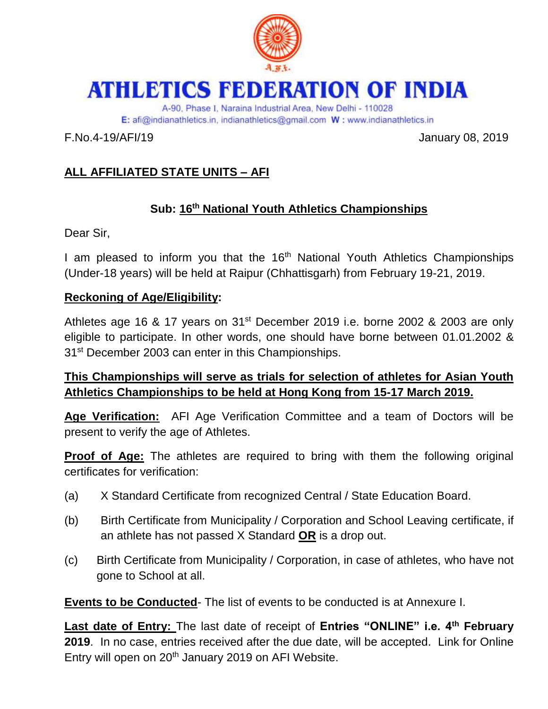

# **ATHLETICS FEDERATION OF INDIA**

A-90, Phase I, Naraina Industrial Area, New Delhi - 110028 E: afi@indianathletics.in. indianathletics@gmail.com W: www.indianathletics.in

F.No.4-19/AFI/19 January 08, 2019

# **ALL AFFILIATED STATE UNITS – AFI**

# **Sub: 16th National Youth Athletics Championships**

Dear Sir,

I am pleased to inform you that the 16<sup>th</sup> National Youth Athletics Championships (Under-18 years) will be held at Raipur (Chhattisgarh) from February 19-21, 2019.

### **Reckoning of Age/Eligibility:**

Athletes age 16 & 17 years on 31<sup>st</sup> December 2019 i.e. borne 2002 & 2003 are only eligible to participate. In other words, one should have borne between 01.01.2002 & 31st December 2003 can enter in this Championships.

## **This Championships will serve as trials for selection of athletes for Asian Youth Athletics Championships to be held at Hong Kong from 15-17 March 2019.**

**Age Verification:** AFI Age Verification Committee and a team of Doctors will be present to verify the age of Athletes.

**Proof of Age:** The athletes are required to bring with them the following original certificates for verification:

- (a) X Standard Certificate from recognized Central / State Education Board.
- (b) Birth Certificate from Municipality / Corporation and School Leaving certificate, if an athlete has not passed X Standard **OR** is a drop out.
- (c) Birth Certificate from Municipality / Corporation, in case of athletes, who have not gone to School at all.

**Events to be Conducted**- The list of events to be conducted is at Annexure I.

**Last date of Entry:** The last date of receipt of **Entries "ONLINE" i.e. 4th February 2019**. In no case, entries received after the due date, will be accepted. Link for Online Entry will open on 20<sup>th</sup> January 2019 on AFI Website.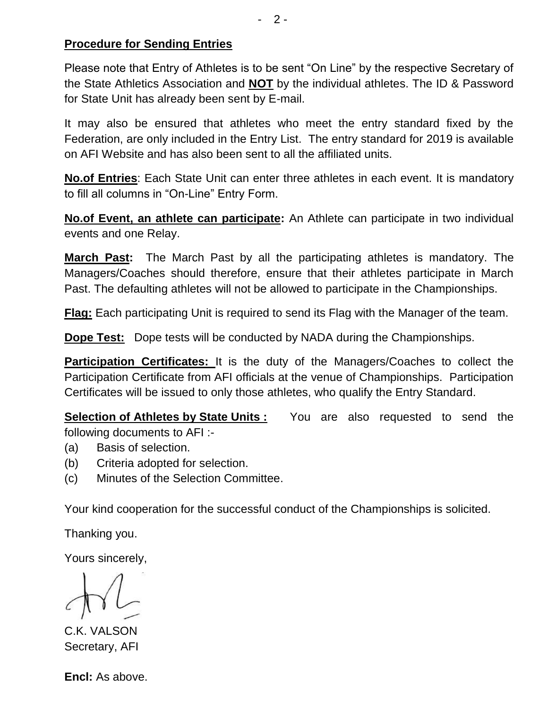#### **Procedure for Sending Entries**

Please note that Entry of Athletes is to be sent "On Line" by the respective Secretary of the State Athletics Association and **NOT** by the individual athletes. The ID & Password for State Unit has already been sent by E-mail.

It may also be ensured that athletes who meet the entry standard fixed by the Federation, are only included in the Entry List. The entry standard for 2019 is available on AFI Website and has also been sent to all the affiliated units.

**No.of Entries**: Each State Unit can enter three athletes in each event. It is mandatory to fill all columns in "On-Line" Entry Form.

**No.of Event, an athlete can participate:** An Athlete can participate in two individual events and one Relay.

**March Past:** The March Past by all the participating athletes is mandatory. The Managers/Coaches should therefore, ensure that their athletes participate in March Past. The defaulting athletes will not be allowed to participate in the Championships.

**Flag:** Each participating Unit is required to send its Flag with the Manager of the team.

**Dope Test:** Dope tests will be conducted by NADA during the Championships.

**Participation Certificates:** It is the duty of the Managers/Coaches to collect the Participation Certificate from AFI officials at the venue of Championships. Participation Certificates will be issued to only those athletes, who qualify the Entry Standard.

**Selection of Athletes by State Units :** You are also requested to send the following documents to AFI :-

- (a) Basis of selection.
- (b) Criteria adopted for selection.
- (c) Minutes of the Selection Committee.

Your kind cooperation for the successful conduct of the Championships is solicited.

Thanking you.

Yours sincerely,

C.K. VALSON Secretary, AFI

**Encl:** As above.